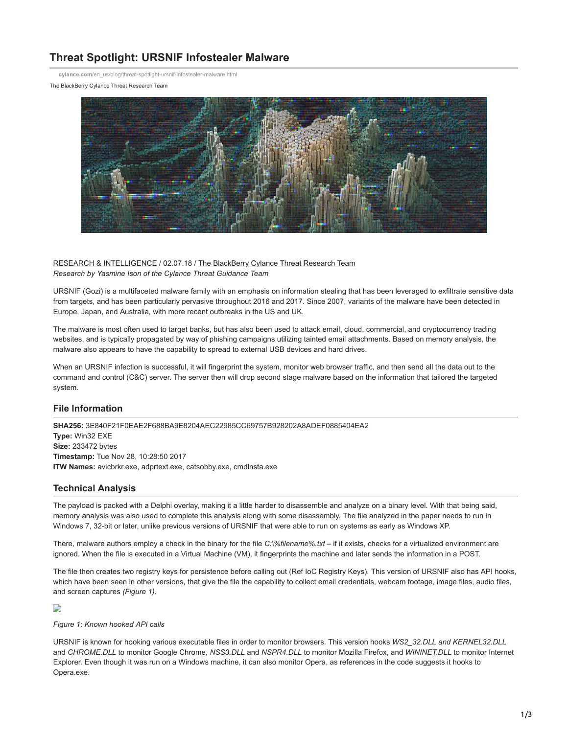# **Threat Spotlight: URSNIF Infostealer Malware**

**cylance.com**[/en\\_us/blog/threat-spotlight-ursnif-infostealer-malware.html](https://www.cylance.com/en_us/blog/threat-spotlight-ursnif-infostealer-malware.html)

The BlackBerry Cylance Threat Research Team



[RESEARCH & INTELLIGENCE](https://www.cylance.com/en/category/research-and-intelligence) / 02.07.18 / [The BlackBerry Cylance Threat Research Team](https://www.cylance.com/en/author/the-cylance-threat-research-team) *Research by Yasmine Ison of the Cylance Threat Guidance Team*

URSNIF (Gozi) is a multifaceted malware family with an emphasis on information stealing that has been leveraged to exfiltrate sensitive data from targets, and has been particularly pervasive throughout 2016 and 2017. Since 2007, variants of the malware have been detected in Europe, Japan, and Australia, with more recent outbreaks in the US and UK.

The malware is most often used to target banks, but has also been used to attack email, cloud, commercial, and cryptocurrency trading websites, and is typically propagated by way of phishing campaigns utilizing tainted email attachments. Based on memory analysis, the malware also appears to have the capability to spread to external USB devices and hard drives.

When an URSNIF infection is successful, it will fingerprint the system, monitor web browser traffic, and then send all the data out to the command and control (C&C) server. The server then will drop second stage malware based on the information that tailored the targeted system.

## **File Information**

**SHA256:** 3E840F21F0EAE2F688BA9E8204AEC22985CC69757B928202A8ADEF0885404EA2 **Type:** Win32 EXE **Size:** 233472 bytes **Timestamp:** Tue Nov 28, 10:28:50 2017 **ITW Names:** avicbrkr.exe, adprtext.exe, catsobby.exe, cmdlnsta.exe

## **Technical Analysis**

The payload is packed with a Delphi overlay, making it a little harder to disassemble and analyze on a binary level. With that being said, memory analysis was also used to complete this analysis along with some disassembly. The file analyzed in the paper needs to run in Windows 7, 32-bit or later, unlike previous versions of URSNIF that were able to run on systems as early as Windows XP.

There, malware authors employ a check in the binary for the file *C:\%filename%.txt* – if it exists, checks for a virtualized environment are ignored. When the file is executed in a Virtual Machine (VM), it fingerprints the machine and later sends the information in a POST.

The file then creates two registry keys for persistence before calling out (Ref IoC Registry Keys). This version of URSNIF also has API hooks, which have been seen in other versions, that give the file the capability to collect email credentials, webcam footage, image files, audio files, and screen captures *(Figure 1)*.

## D

*Figure 1*: *Known hooked API calls*

URSNIF is known for hooking various executable files in order to monitor browsers. This version hooks *WS2\_32.DLL and KERNEL32.DLL* and *CHROME.DLL* to monitor Google Chrome, *NSS3.DLL* and *NSPR4.DLL* to monitor Mozilla Firefox, and *WININET.DLL* to monitor Internet Explorer. Even though it was run on a Windows machine, it can also monitor Opera, as references in the code suggests it hooks to Opera.exe.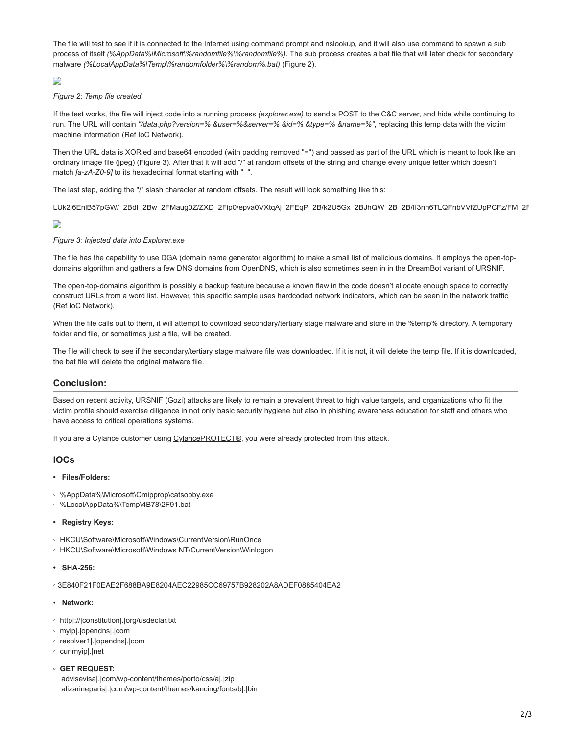The file will test to see if it is connected to the Internet using command prompt and nslookup, and it will also use command to spawn a sub process of itself *(%AppData%\Microsoft\%randomfile%\%randomfile%)*. The sub process creates a bat file that will later check for secondary malware *(%LocalAppData%\Temp\%randomfolder%\%random%.bat)* (Figure 2).

# D

#### *Figure 2*: *Temp file created.*

If the test works, the file will inject code into a running process *(explorer.exe)* to send a POST to the C&C server, and hide while continuing to run. The URL will contain *"/data.php?version=% &user=%&server=% &id=% &type=% &name=%"*, replacing this temp data with the victim machine information (Ref IoC Network).

Then the URL data is XOR'ed and base64 encoded (with padding removed "=") and passed as part of the URL which is meant to look like an ordinary image file (jpeg) (Figure 3). After that it will add "/" at random offsets of the string and change every unique letter which doesn't match *[a-zA-Z0-9]* to its hexadecimal format starting with "\_".

The last step, adding the "/" slash character at random offsets. The result will look something like this:

LUk2l6EnlB57pGW/\_2BdI\_2Bw\_2FMaug0Z/ZXD\_2Fip0/epva0VXtqAj\_2FEqP\_2B/k2U5Gx\_2BJhQW\_2B\_2B/II3nn6TLQFnbVVfZUpPCFz/FM\_2F

## $\mathbf{L}$

## *Figure 3: Injected data into Explorer.exe*

The file has the capability to use DGA (domain name generator algorithm) to make a small list of malicious domains. It employs the open-topdomains algorithm and gathers a few DNS domains from OpenDNS, which is also sometimes seen in in the DreamBot variant of URSNIF.

The open-top-domains algorithm is possibly a backup feature because a known flaw in the code doesn't allocate enough space to correctly construct URLs from a word list. However, this specific sample uses hardcoded network indicators, which can be seen in the network traffic (Ref IoC Network).

When the file calls out to them, it will attempt to download secondary/tertiary stage malware and store in the %temp% directory. A temporary folder and file, or sometimes just a file, will be created.

The file will check to see if the secondary/tertiary stage malware file was downloaded. If it is not, it will delete the temp file. If it is downloaded, the bat file will delete the original malware file.

## **Conclusion:**

Based on recent activity, URSNIF (Gozi) attacks are likely to remain a prevalent threat to high value targets, and organizations who fit the victim profile should exercise diligence in not only basic security hygiene but also in phishing awareness education for staff and others who have access to critical operations systems.

If you are a Cylance customer using [CylancePROTECT®](http://cylance.com/en_us/products/our-products/protect.html?utm_medium=Blog), you were already protected from this attack.

## **IOCs**

#### **• Files/Folders:**

- %AppData%\Microsoft\Cmipprop\catsobby.exe
- %LocalAppData%\Temp\4B78\2F91.bat
- **Registry Keys:**
- HKCU\Software\Microsoft\Windows\CurrentVersion\RunOnce
- HKCU\Software\Microsoft\Windows NT\CurrentVersion\Winlogon
- **SHA-256:**

◦ 3E840F21F0EAE2F688BA9E8204AEC22985CC69757B928202A8ADEF0885404EA2

- • **Network:**
- http|://|constitution|.|org/usdeclar.txt
- myip|.|opendns|.|com
- resolver1|.|opendns|.|com
- curlmyip|.|net

## **◦ GET REQUEST:**

 advisevisa|.|com/wp-content/themes/porto/css/a|.|zip alizarineparis|.|com/wp-content/themes/kancing/fonts/b|.|bin